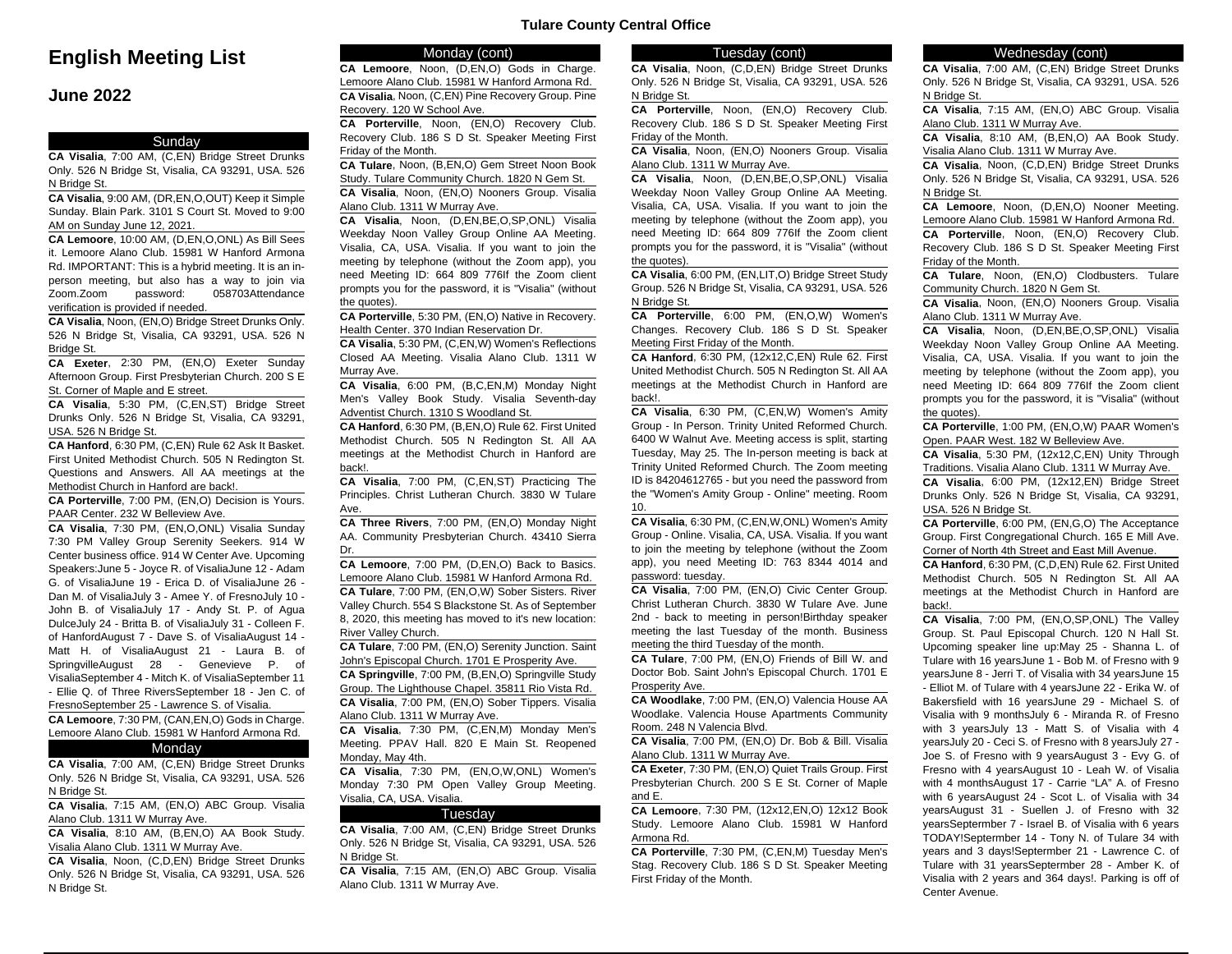# **English Meeting List**

# **June 2022**

### Sunday

**CA Visalia**, 7:00 AM, (C,EN) Bridge Street Drunks Only. 526 N Bridge St, Visalia, CA 93291, USA. 526 N Bridge St.

**CA Visalia**, 9:00 AM, (DR,EN,O,OUT) Keep it Simple Sunday. Blain Park. 3101 S Court St. Moved to 9:00 AM on Sunday June 12, 2021.

**CA Lemoore**, 10:00 AM, (D,EN,O,ONL) As Bill Sees it. Lemoore Alano Club. 15981 W Hanford Armona Rd. IMPORTANT: This is a hybrid meeting. It is an inperson meeting, but also has a way to join via Zoom.Zoom password: 058703Attendance verification is provided if needed.

**CA Visalia**, Noon, (EN,O) Bridge Street Drunks Only. 526 N Bridge St, Visalia, CA 93291, USA. 526 N Bridge St.

**CA Exeter**, 2:30 PM, (EN,O) Exeter Sunday Afternoon Group. First Presbyterian Church. 200 S E St. Corner of Maple and E street.

**CA Visalia**, 5:30 PM, (C,EN,ST) Bridge Street Drunks Only. 526 N Bridge St, Visalia, CA 93291, USA. 526 N Bridge St.

**CA Hanford**, 6:30 PM, (C,EN) Rule 62 Ask It Basket. First United Methodist Church. 505 N Redington St. Questions and Answers. All AA meetings at the Methodist Church in Hanford are back!.

**CA Porterville**, 7:00 PM, (EN,O) Decision is Yours. PAAR Center. 232 W Belleview Ave.

**CA Visalia**, 7:30 PM, (EN,O,ONL) Visalia Sunday 7:30 PM Valley Group Serenity Seekers. 914 W Center business office. 914 W Center Ave. Upcoming Speakers:June 5 - Joyce R. of VisaliaJune 12 - Adam G. of VisaliaJune 19 - Erica D. of VisaliaJune 26 - Dan M. of VisaliaJuly 3 - Amee Y. of FresnoJuly 10 - John B. of VisaliaJuly 17 - Andy St. P. of Agua DulceJuly 24 - Britta B. of VisaliaJuly 31 - Colleen F. of HanfordAugust 7 - Dave S. of VisaliaAugust 14 - Matt H. of VisaliaAugust 21 - Laura B. of SpringvilleAugust 28 - Genevieve P. of VisaliaSeptember 4 - Mitch K. of VisaliaSeptember 11 - Ellie Q. of Three RiversSeptember 18 - Jen C. of FresnoSeptember 25 - Lawrence S. of Visalia.

**CA Lemoore**, 7:30 PM, (CAN,EN,O) Gods in Charge. Lemoore Alano Club. 15981 W Hanford Armona Rd.

# **Monday**

**CA Visalia**, 7:00 AM, (C,EN) Bridge Street Drunks Only. 526 N Bridge St, Visalia, CA 93291, USA. 526 N Bridge St.

**CA Visalia**, 7:15 AM, (EN,O) ABC Group. Visalia Alano Club. 1311 W Murray Ave.

**CA Visalia**, 8:10 AM, (B,EN,O) AA Book Study. Visalia Alano Club. 1311 W Murray Ave.

**CA Visalia**, Noon, (C,D,EN) Bridge Street Drunks Only. 526 N Bridge St, Visalia, CA 93291, USA. 526 N Bridge St.

# Monday (cont)

**CA Lemoore**, Noon, (D,EN,O) Gods in Charge. Lemoore Alano Club. 15981 W Hanford Armona Rd. **CA Visalia**, Noon, (C,EN) Pine Recovery Group. Pine Recovery. 120 W School Ave.

**CA Porterville**, Noon, (EN,O) Recovery Club. Recovery Club. 186 S D St. Speaker Meeting First Friday of the Month.

**CA Tulare**, Noon, (B,EN,O) Gem Street Noon Book Study. Tulare Community Church. 1820 N Gem St. **CA Visalia**, Noon, (EN,O) Nooners Group. Visalia

Alano Club. 1311 W Murray Ave.

**CA Visalia**, Noon, (D,EN,BE,O,SP,ONL) Visalia Weekday Noon Valley Group Online AA Meeting. Visalia, CA, USA. Visalia. If you want to join the meeting by telephone (without the Zoom app), you need Meeting ID: 664 809 776If the Zoom client prompts you for the password, it is "Visalia" (without the quotes).

**CA Porterville**, 5:30 PM, (EN,O) Native in Recovery. Health Center. 370 Indian Reservation Dr.

**CA Visalia**, 5:30 PM, (C,EN,W) Women's Reflections Closed AA Meeting. Visalia Alano Club. 1311 W Murray Ave.

**CA Visalia**, 6:00 PM, (B,C,EN,M) Monday Night Men's Valley Book Study. Visalia Seventh-day Adventist Church. 1310 S Woodland St.

**CA Hanford**, 6:30 PM, (B,EN,O) Rule 62. First United Methodist Church. 505 N Redington St. All AA meetings at the Methodist Church in Hanford are back!.

**CA Visalia**, 7:00 PM, (C,EN,ST) Practicing The Principles. Christ Lutheran Church. 3830 W Tulare Ave.

**CA Three Rivers**, 7:00 PM, (EN,O) Monday Night AA. Community Presbyterian Church. 43410 Sierra Dr.

**CA Lemoore**, 7:00 PM, (D,EN,O) Back to Basics. Lemoore Alano Club. 15981 W Hanford Armona Rd. **CA Tulare**, 7:00 PM, (EN,O,W) Sober Sisters. River Valley Church. 554 S Blackstone St. As of September 8, 2020, this meeting has moved to it's new location: River Valley Church.

**CA Tulare**, 7:00 PM, (EN,O) Serenity Junction. Saint John's Episcopal Church. 1701 E Prosperity Ave.

**CA Springville**, 7:00 PM, (B,EN,O) Springville Study Group. The Lighthouse Chapel. 35811 Rio Vista Rd. **CA Visalia**, 7:00 PM, (EN,O) Sober Tippers. Visalia Alano Club. 1311 W Murray Ave.

**CA Visalia**, 7:30 PM, (C,EN,M) Monday Men's Meeting. PPAV Hall. 820 E Main St. Reopened Monday, May 4th.

**CA Visalia**, 7:30 PM, (EN,O,W,ONL) Women's Monday 7:30 PM Open Valley Group Meeting. Visalia, CA, USA. Visalia.

#### Tuesday

**CA Visalia**, 7:00 AM, (C,EN) Bridge Street Drunks Only. 526 N Bridge St, Visalia, CA 93291, USA. 526 N Bridge St.

**CA Visalia**, 7:15 AM, (EN,O) ABC Group. Visalia Alano Club. 1311 W Murray Ave.

#### Tuesday (cont)

**CA Visalia**, Noon, (C,D,EN) Bridge Street Drunks Only. 526 N Bridge St, Visalia, CA 93291, USA. 526 N Bridge St.

**CA Porterville**, Noon, (EN,O) Recovery Club. Recovery Club. 186 S D St. Speaker Meeting First Friday of the Month.

**CA Visalia**, Noon, (EN,O) Nooners Group. Visalia Alano Club. 1311 W Murray Ave.

**CA Visalia**, Noon, (D,EN,BE,O,SP,ONL) Visalia Weekday Noon Valley Group Online AA Meeting. Visalia, CA, USA. Visalia. If you want to join the meeting by telephone (without the Zoom app), you need Meeting ID: 664 809 776If the Zoom client prompts you for the password, it is "Visalia" (without the quotes).

**CA Visalia**, 6:00 PM, (EN,LIT,O) Bridge Street Study Group. 526 N Bridge St, Visalia, CA 93291, USA. 526 N Bridge St.

**CA Porterville**, 6:00 PM, (EN,O,W) Women's Changes. Recovery Club. 186 S D St. Speaker Meeting First Friday of the Month.

**CA Hanford**, 6:30 PM, (12x12,C,EN) Rule 62. First United Methodist Church. 505 N Redington St. All AA meetings at the Methodist Church in Hanford are back!.

**CA Visalia**, 6:30 PM, (C,EN,W) Women's Amity Group - In Person. Trinity United Reformed Church. 6400 W Walnut Ave. Meeting access is split, starting Tuesday, May 25. The In-person meeting is back at Trinity United Reformed Church. The Zoom meeting ID is 84204612765 - but you need the password from the "Women's Amity Group - Online" meeting. Room 10.

**CA Visalia**, 6:30 PM, (C,EN,W,ONL) Women's Amity Group - Online. Visalia, CA, USA. Visalia. If you want to join the meeting by telephone (without the Zoom app), you need Meeting ID: 763 8344 4014 and password: tuesday.

**CA Visalia**, 7:00 PM, (EN,O) Civic Center Group. Christ Lutheran Church. 3830 W Tulare Ave. June 2nd - back to meeting in person!Birthday speaker meeting the last Tuesday of the month. Business meeting the third Tuesday of the month.

**CA Tulare**, 7:00 PM, (EN,O) Friends of Bill W. and Doctor Bob. Saint John's Episcopal Church. 1701 E Prosperity Ave.

**CA Woodlake**, 7:00 PM, (EN,O) Valencia House AA Woodlake. Valencia House Apartments Community Room. 248 N Valencia Blvd.

**CA Visalia**, 7:00 PM, (EN,O) Dr. Bob & Bill. Visalia Alano Club. 1311 W Murray Ave.

**CA Exeter**, 7:30 PM, (EN,O) Quiet Trails Group. First Presbyterian Church. 200 S E St. Corner of Maple and E.

**CA Lemoore**, 7:30 PM, (12x12,EN,O) 12x12 Book Study. Lemoore Alano Club. 15981 W Hanford Armona Rd.

**CA Porterville**, 7:30 PM, (C,EN,M) Tuesday Men's Stag. Recovery Club. 186 S D St. Speaker Meeting First Friday of the Month.

#### Wednesday (cont)

**CA Visalia**, 7:00 AM, (C,EN) Bridge Street Drunks Only. 526 N Bridge St, Visalia, CA 93291, USA. 526 N Bridge St.

**CA Visalia**, 7:15 AM, (EN,O) ABC Group. Visalia Alano Club. 1311 W Murray Ave.

**CA Visalia**, 8:10 AM, (B,EN,O) AA Book Study. Visalia Alano Club. 1311 W Murray Ave.

**CA Visalia**, Noon, (C,D,EN) Bridge Street Drunks Only. 526 N Bridge St, Visalia, CA 93291, USA. 526 N Bridge St.

**CA Lemoore**, Noon, (D,EN,O) Nooner Meeting. Lemoore Alano Club. 15981 W Hanford Armona Rd.

**CA Porterville**, Noon, (EN,O) Recovery Club. Recovery Club. 186 S D St. Speaker Meeting First Friday of the Month.

**CA Tulare**, Noon, (EN,O) Clodbusters. Tulare Community Church. 1820 N Gem St.

**CA Visalia**, Noon, (EN,O) Nooners Group. Visalia Alano Club. 1311 W Murray Ave.

**CA Visalia**, Noon, (D,EN,BE,O,SP,ONL) Visalia Weekday Noon Valley Group Online AA Meeting. Visalia, CA, USA. Visalia. If you want to join the meeting by telephone (without the Zoom app), you need Meeting ID: 664 809 776If the Zoom client prompts you for the password, it is "Visalia" (without the quotes).

**CA Porterville**, 1:00 PM, (EN,O,W) PAAR Women's Open. PAAR West. 182 W Belleview Ave.

**CA Visalia**, 5:30 PM, (12x12,C,EN) Unity Through Traditions. Visalia Alano Club. 1311 W Murray Ave. **CA Visalia**, 6:00 PM, (12x12,EN) Bridge Street Drunks Only. 526 N Bridge St, Visalia, CA 93291, USA. 526 N Bridge St.

**CA Porterville**, 6:00 PM, (EN,G,O) The Acceptance Group. First Congregational Church. 165 E Mill Ave. Corner of North 4th Street and East Mill Avenue.

**CA Hanford**, 6:30 PM, (C,D,EN) Rule 62. First United Methodist Church. 505 N Redington St. All AA meetings at the Methodist Church in Hanford are back!.

**CA Visalia**, 7:00 PM, (EN,O,SP,ONL) The Valley Group. St. Paul Episcopal Church. 120 N Hall St. Upcoming speaker line up:May 25 - Shanna L. of Tulare with 16 yearsJune 1 - Bob M. of Fresno with 9 yearsJune 8 - Jerri T. of Visalia with 34 yearsJune 15 - Elliot M. of Tulare with 4 yearsJune 22 - Erika W. of Bakersfield with 16 yearsJune 29 - Michael S. of Visalia with 9 monthsJuly 6 - Miranda R. of Fresno with 3 yearsJuly 13 - Matt S. of Visalia with 4 yearsJuly 20 - Ceci S. of Fresno with 8 yearsJuly 27 - Joe S. of Fresno with 9 yearsAugust 3 - Evy G. of Fresno with 4 yearsAugust 10 - Leah W. of Visalia with 4 monthsAugust 17 - Carrie "LA" A. of Fresno with 6 yearsAugust 24 - Scot L. of Visalia with 34 yearsAugust 31 - Suellen J. of Fresno with 32 yearsSeptermber 7 - Israel B. of Visalia with 6 years TODAY!Septermber 14 - Tony N. of Tulare 34 with years and 3 days!Septermber 21 - Lawrence C. of Tulare with 31 yearsSeptermber 28 - Amber K. of Visalia with 2 years and 364 days!. Parking is off of Center Avenue.